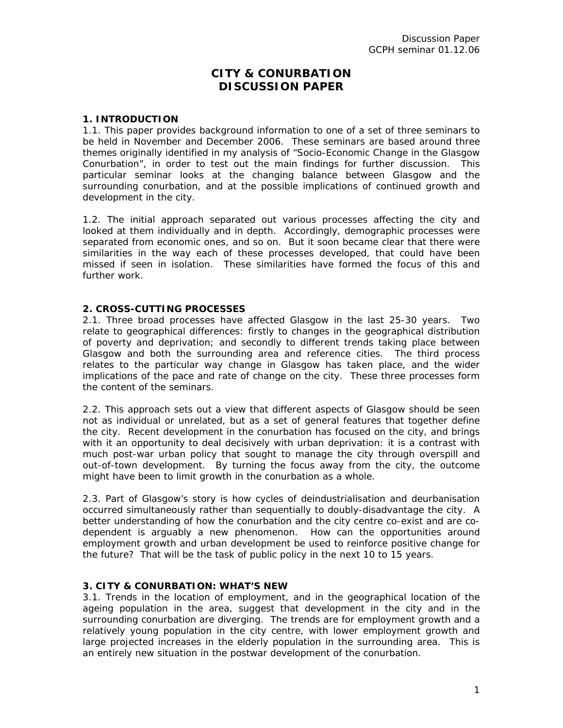# **CITY & CONURBATION DISCUSSION PAPER**

#### **1. INTRODUCTION**

1.1. This paper provides background information to one of a set of three seminars to be held in November and December 2006. These seminars are based around three themes originally identified in my analysis of "Socio-Economic Change in the Glasgow Conurbation", in order to test out the main findings for further discussion. This particular seminar looks at the changing balance between Glasgow and the surrounding conurbation, and at the possible implications of continued growth and development in the city.

1.2. The initial approach separated out various processes affecting the city and looked at them individually and in depth. Accordingly, demographic processes were separated from economic ones, and so on. But it soon became clear that there were similarities in the way each of these processes developed, that could have been missed if seen in isolation. These similarities have formed the focus of this and further work.

#### **2. CROSS-CUTTING PROCESSES**

2.1. Three broad processes have affected Glasgow in the last 25-30 years. Two relate to geographical differences: firstly to changes in the geographical distribution of poverty and deprivation; and secondly to different trends taking place between Glasgow and both the surrounding area and reference cities. The third process relates to the particular way change in Glasgow has taken place, and the wider implications of the pace and rate of change on the city. These three processes form the content of the seminars.

2.2. This approach sets out a view that different aspects of Glasgow should be seen not as individual or unrelated, but as a set of general features that together define the city. Recent development in the conurbation has focused on the city, and brings with it an opportunity to deal decisively with urban deprivation: it is a contrast with much post-war urban policy that sought to manage the city through overspill and out-of-town development. By turning the focus away from the city, the outcome might have been to limit growth in the conurbation as a whole.

2.3. Part of Glasgow's story is how cycles of deindustrialisation and deurbanisation occurred simultaneously rather than sequentially to doubly-disadvantage the city. A better understanding of how the conurbation and the city centre co-exist and are codependent is arguably a new phenomenon. How can the opportunities around employment growth and urban development be used to reinforce positive change for the future? That will be the task of public policy in the next 10 to 15 years.

#### **3. CITY & CONURBATION: WHAT'S NEW**

3.1. Trends in the location of employment, and in the geographical location of the ageing population in the area, suggest that development in the city and in the surrounding conurbation are diverging. The trends are for employment growth and a relatively young population in the city centre, with lower employment growth and large projected increases in the elderly population in the surrounding area. This is an entirely new situation in the postwar development of the conurbation.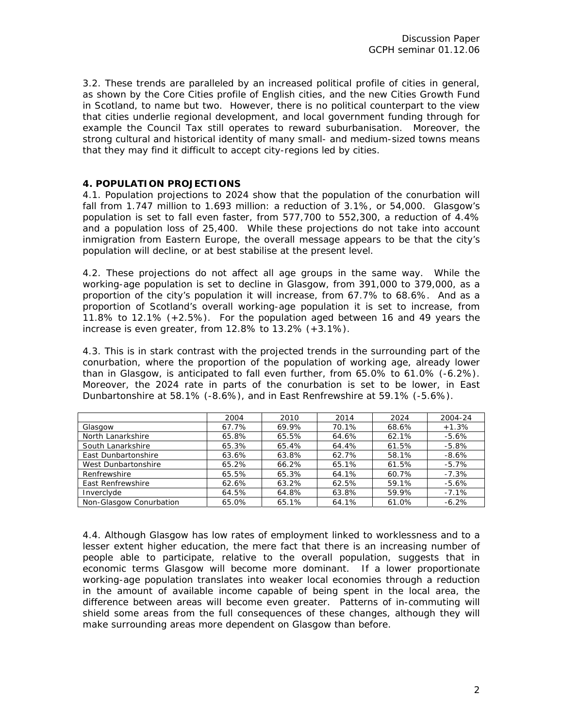3.2. These trends are paralleled by an increased political profile of cities in general, as shown by the Core Cities profile of English cities, and the new Cities Growth Fund in Scotland, to name but two. However, there is no political counterpart to the view that cities underlie regional development, and local government funding through for example the Council Tax still operates to reward suburbanisation. Moreover, the strong cultural and historical identity of many small- and medium-sized towns means that they may find it difficult to accept city-regions led by cities.

## **4. POPULATION PROJECTIONS**

4.1. Population projections to 2024 show that the population of the conurbation will fall from 1.747 million to 1.693 million: a reduction of 3.1%, or 54,000. Glasgow's population is set to fall even faster, from 577,700 to 552,300, a reduction of 4.4% and a population loss of 25,400. While these projections do not take into account inmigration from Eastern Europe, the overall message appears to be that the city's population will decline, or at best stabilise at the present level.

4.2. These projections do not affect all age groups in the same way. While the working-age population is set to decline in Glasgow, from 391,000 to 379,000, as a proportion of the city's population it will increase, from 67.7% to 68.6%. And as a proportion of Scotland's overall working-age population it is set to increase, from 11.8% to 12.1% (+2.5%). For the population aged between 16 and 49 years the increase is even greater, from 12.8% to 13.2% (+3.1%).

4.3. This is in stark contrast with the projected trends in the surrounding part of the conurbation, where the proportion of the population of working age, already lower than in Glasgow, is anticipated to fall even further, from 65.0% to 61.0% (-6.2%). Moreover, the 2024 rate in parts of the conurbation is set to be lower, in East Dunbartonshire at 58.1% (-8.6%), and in East Renfrewshire at 59.1% (-5.6%).

|                         | 2004  | 2010  | 2014  | 2024  | 2004-24  |
|-------------------------|-------|-------|-------|-------|----------|
| Glasgow                 | 67.7% | 69.9% | 70.1% | 68.6% | $+1.3%$  |
| North Lanarkshire       | 65.8% | 65.5% | 64.6% | 62.1% | $-5.6%$  |
| South Lanarkshire       | 65.3% | 65.4% | 64.4% | 61.5% | $-5.8%$  |
| East Dunbartonshire     | 63.6% | 63.8% | 62.7% | 58.1% | $-8.6%$  |
| West Dunbartonshire     | 65.2% | 66.2% | 65.1% | 61.5% | $-5.7\%$ |
| Renfrewshire            | 65.5% | 65.3% | 64.1% | 60.7% | $-7.3%$  |
| East Renfrewshire       | 62.6% | 63.2% | 62.5% | 59.1% | $-5.6%$  |
| Invercivde              | 64.5% | 64.8% | 63.8% | 59.9% | $-7.1%$  |
| Non-Glasgow Conurbation | 65.0% | 65.1% | 64.1% | 61.0% | $-6.2%$  |

4.4. Although Glasgow has low rates of employment linked to worklessness and to a lesser extent higher education, the mere fact that there is an increasing number of people able to participate, relative to the overall population, suggests that in economic terms Glasgow will become more dominant. If a lower proportionate working-age population translates into weaker local economies through a reduction in the amount of available income capable of being spent in the local area, the difference between areas will become even greater. Patterns of in-commuting will shield some areas from the full consequences of these changes, although they will make surrounding areas more dependent on Glasgow than before.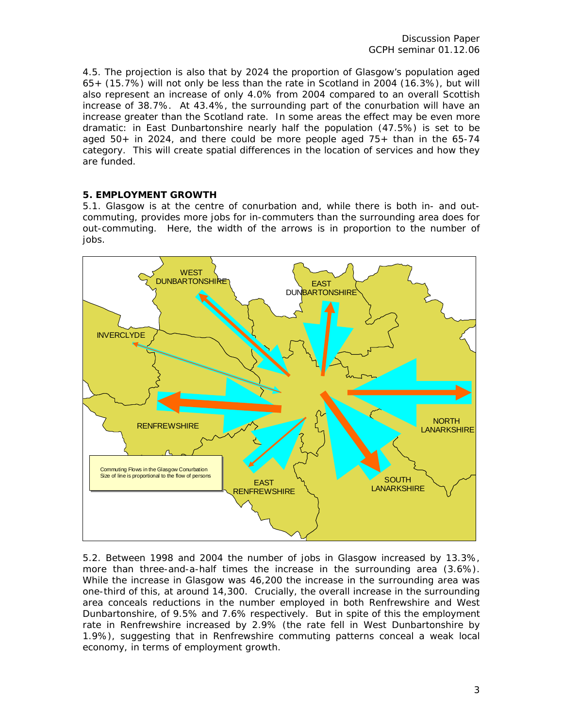4.5. The projection is also that by 2024 the proportion of Glasgow's population aged 65+ (15.7%) will not only be less than the rate in Scotland in 2004 (16.3%), but will also represent an increase of only 4.0% from 2004 compared to an overall Scottish increase of 38.7%. At 43.4%, the surrounding part of the conurbation will have an increase greater than the Scotland rate. In some areas the effect may be even more dramatic: in East Dunbartonshire nearly half the population (47.5%) is set to be aged 50+ in 2024, and there could be more people aged 75+ than in the 65-74 category. This will create spatial differences in the location of services and how they are funded.

## **5. EMPLOYMENT GROWTH**

5.1. Glasgow is at the centre of conurbation and, while there is both in- and outcommuting, provides more jobs for in-commuters than the surrounding area does for out-commuting. Here, the width of the arrows is in proportion to the number of jobs.



5.2. Between 1998 and 2004 the number of jobs in Glasgow increased by 13.3%, more than three-and-a-half times the increase in the surrounding area (3.6%). While the increase in Glasgow was 46,200 the increase in the surrounding area was one-third of this, at around 14,300. Crucially, the overall increase in the surrounding area conceals reductions in the number employed in both Renfrewshire and West Dunbartonshire, of 9.5% and 7.6% respectively. But in spite of this the employment rate in Renfrewshire increased by 2.9% (the rate fell in West Dunbartonshire by 1.9%), suggesting that in Renfrewshire commuting patterns conceal a weak local economy, in terms of employment growth.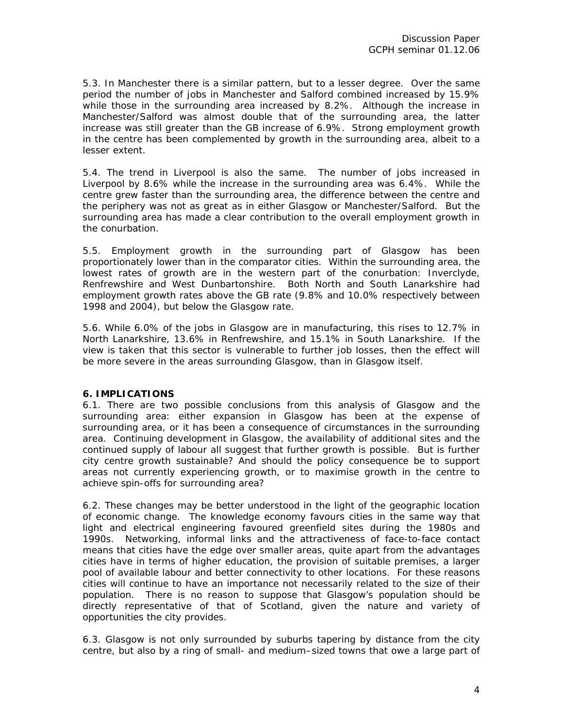5.3. In Manchester there is a similar pattern, but to a lesser degree. Over the same period the number of jobs in Manchester and Salford combined increased by 15.9% while those in the surrounding area increased by 8.2%. Although the increase in Manchester/Salford was almost double that of the surrounding area, the latter increase was still greater than the GB increase of 6.9%. Strong employment growth in the centre has been complemented by growth in the surrounding area, albeit to a lesser extent.

5.4. The trend in Liverpool is also the same. The number of jobs increased in Liverpool by 8.6% while the increase in the surrounding area was 6.4%. While the centre grew faster than the surrounding area, the difference between the centre and the periphery was not as great as in either Glasgow or Manchester/Salford. But the surrounding area has made a clear contribution to the overall employment growth in the conurbation.

5.5. Employment growth in the surrounding part of Glasgow has been proportionately lower than in the comparator cities. Within the surrounding area, the lowest rates of growth are in the western part of the conurbation: Inverclyde, Renfrewshire and West Dunbartonshire. Both North and South Lanarkshire had employment growth rates above the GB rate (9.8% and 10.0% respectively between 1998 and 2004), but below the Glasgow rate.

5.6. While 6.0% of the jobs in Glasgow are in manufacturing, this rises to 12.7% in North Lanarkshire, 13.6% in Renfrewshire, and 15.1% in South Lanarkshire. If the view is taken that this sector is vulnerable to further job losses, then the effect will be more severe in the areas surrounding Glasgow, than in Glasgow itself.

## **6. IMPLICATIONS**

6.1. There are two possible conclusions from this analysis of Glasgow and the surrounding area: either expansion in Glasgow has been at the expense of surrounding area, or it has been a consequence of circumstances in the surrounding area. Continuing development in Glasgow, the availability of additional sites and the continued supply of labour all suggest that further growth is possible. But is further city centre growth sustainable? And should the policy consequence be to support areas not currently experiencing growth, or to maximise growth in the centre to achieve spin-offs for surrounding area?

6.2. These changes may be better understood in the light of the geographic location of economic change. The knowledge economy favours cities in the same way that light and electrical engineering favoured greenfield sites during the 1980s and 1990s. Networking, informal links and the attractiveness of face-to-face contact means that cities have the edge over smaller areas, quite apart from the advantages cities have in terms of higher education, the provision of suitable premises, a larger pool of available labour and better connectivity to other locations. For these reasons cities will continue to have an importance not necessarily related to the size of their population. There is no reason to suppose that Glasgow's population should be directly representative of that of Scotland, given the nature and variety of opportunities the city provides.

6.3. Glasgow is not only surrounded by suburbs tapering by distance from the city centre, but also by a ring of small- and medium–sized towns that owe a large part of